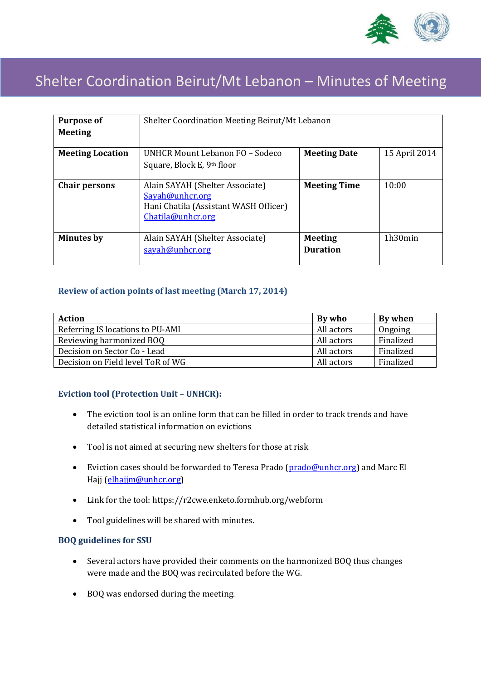

# Shelter Coordination Beirut/Mt Lebanon – Minutes of Meeting

| <b>Purpose of</b>       | Shelter Coordination Meeting Beirut/Mt Lebanon                                                                   |                                   |               |
|-------------------------|------------------------------------------------------------------------------------------------------------------|-----------------------------------|---------------|
| <b>Meeting</b>          |                                                                                                                  |                                   |               |
| <b>Meeting Location</b> | UNHCR Mount Lebanon FO - Sodeco<br>Square, Block E, 9th floor                                                    | <b>Meeting Date</b>               | 15 April 2014 |
| <b>Chair persons</b>    | Alain SAYAH (Shelter Associate)<br>Savah@unhcr.org<br>Hani Chatila (Assistant WASH Officer)<br>Chatila@unhcr.org | <b>Meeting Time</b>               | 10:00         |
| <b>Minutes by</b>       | Alain SAYAH (Shelter Associate)<br>sayah@unhcr.org                                                               | <b>Meeting</b><br><b>Duration</b> | 1h30min       |

# **Review of action points of last meeting (March 17, 2014)**

| <b>Action</b>                     | By who     | By when   |
|-----------------------------------|------------|-----------|
| Referring IS locations to PU-AMI  | All actors | Ongoing   |
| Reviewing harmonized BOQ          | All actors | Finalized |
| Decision on Sector Co - Lead      | All actors | Finalized |
| Decision on Field level ToR of WG | All actors | Finalized |

# **Eviction tool (Protection Unit – UNHCR):**

- The eviction tool is an online form that can be filled in order to track trends and have detailed statistical information on evictions
- Tool is not aimed at securing new shelters for those at risk
- Eviction cases should be forwarded to Teresa Prado [\(prado@unhcr.org\)](mailto:prado@unhcr.org) and Marc El Hajj [\(elhajjm@unhcr.org\)](mailto:elhajjm@unhcr.org)
- Link for the tool: [https://r2cwe.enketo.formhub.org/webform](https://mail.unhcr.org/owa/redir.aspx?C=7rKpUmxlrkq2fzmcsEHIlJC4XMKtNdEIV4EuczCrng_MPF2e96IQH6-zCwgZ2cJ4SscJ2rLGo3o.&URL=https%3a%2f%2fr2cwe.enketo.formhub.org%2fwebform)
- Tool guidelines will be shared with minutes.

#### **BOQ guidelines for SSU**

- Several actors have provided their comments on the harmonized BOQ thus changes were made and the BOQ was recirculated before the WG.
- BOQ was endorsed during the meeting.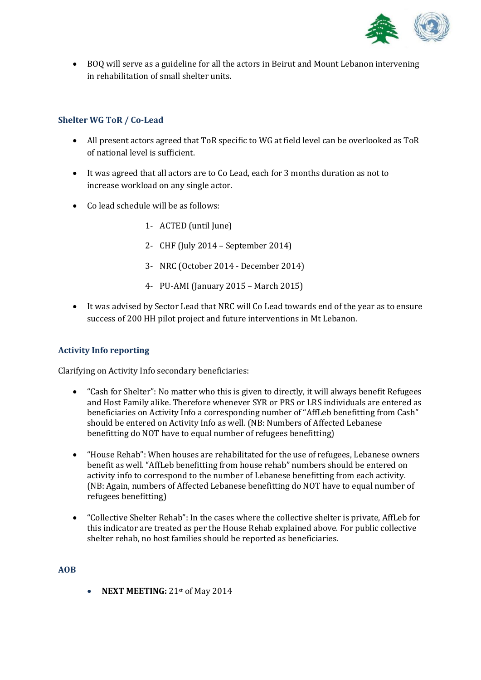

 BOQ will serve as a guideline for all the actors in Beirut and Mount Lebanon intervening in rehabilitation of small shelter units.

# **Shelter WG ToR / Co-Lead**

- All present actors agreed that ToR specific to WG at field level can be overlooked as ToR of national level is sufficient.
- It was agreed that all actors are to Co Lead, each for 3 months duration as not to increase workload on any single actor.
- Co lead schedule will be as follows:
	- 1- ACTED (until June)
	- 2- CHF (July 2014 September 2014)
	- 3- NRC (October 2014 December 2014)
	- 4- PU-AMI (January 2015 March 2015)
- It was advised by Sector Lead that NRC will Co Lead towards end of the year as to ensure success of 200 HH pilot project and future interventions in Mt Lebanon.

# **Activity Info reporting**

Clarifying on Activity Info secondary beneficiaries:

- "Cash for Shelter": No matter who this is given to directly, it will always benefit Refugees and Host Family alike. Therefore whenever SYR or PRS or LRS individuals are entered as beneficiaries on Activity Info a corresponding number of "AffLeb benefitting from Cash" should be entered on Activity Info as well. (NB: Numbers of Affected Lebanese benefitting do NOT have to equal number of refugees benefitting)
- "House Rehab": When houses are rehabilitated for the use of refugees, Lebanese owners benefit as well. "AffLeb benefitting from house rehab" numbers should be entered on activity info to correspond to the number of Lebanese benefitting from each activity. (NB: Again, numbers of Affected Lebanese benefitting do NOT have to equal number of refugees benefitting)
- "Collective Shelter Rehab": In the cases where the collective shelter is private, AffLeb for this indicator are treated as per the House Rehab explained above. For public collective shelter rehab, no host families should be reported as beneficiaries.

**AOB**

**NEXT MEETING:** 21st of May 2014